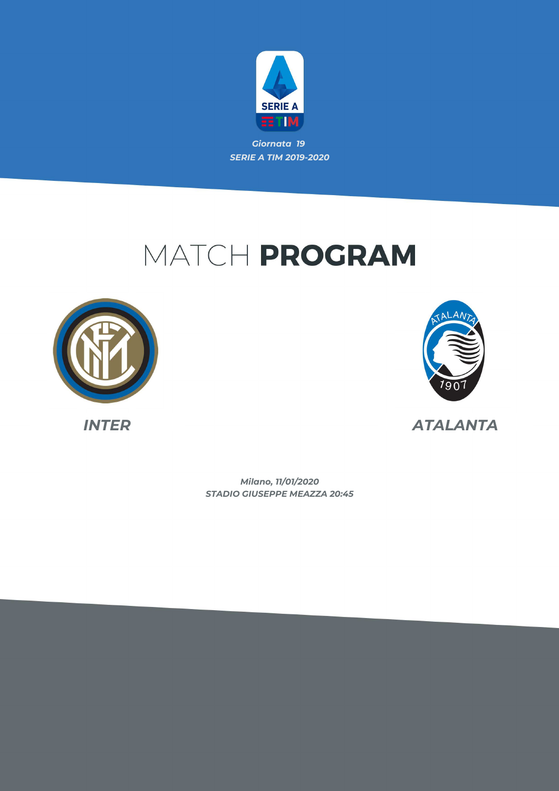

## MATCH PROGRAM





*INTER ATALANTA*

*STADIO GIUSEPPE MEAZZA 20:45 Milano, 11/01/2020*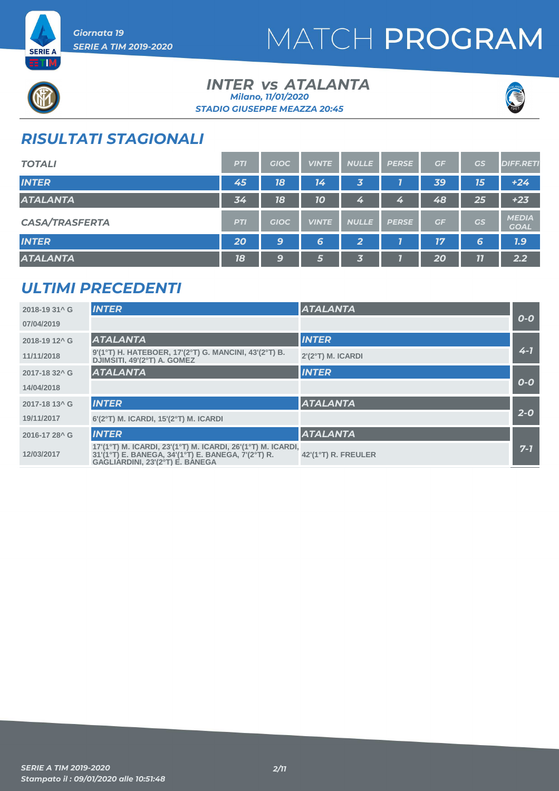



### **INTER vs ATALANTA** *STADIO GIUSEPPE MEAZZA 20:45 Milano, 11/01/2020*



### *RISULTATI STAGIONALI*

| <b>TOTALI</b>         | <b>PTI</b> | <b>GIOC</b> | <b>VINTE</b> | <b>NULLE</b>            | <b>PERSE</b> | GF | GS | <b>DIFF.RETI</b>            |
|-----------------------|------------|-------------|--------------|-------------------------|--------------|----|----|-----------------------------|
| <b>INTER</b>          | 45         | 18          | 14           | 3                       |              | 39 | 15 | $+24$                       |
| <b>ATALANTA</b>       | 34         | 18          | 10           | 4                       | 4            | 48 | 25 | $+23$                       |
| <b>CASA/TRASFERTA</b> | <b>PTI</b> | <b>GIOC</b> | <b>VINTE</b> | <b>NULLE</b>            | <b>PERSE</b> | GF | GS | <b>MEDIA</b><br><b>GOAL</b> |
| <b>INTER</b>          | 20         | 9           | 6            | $\overline{\mathbf{2}}$ |              | 77 | 6  | 7.9                         |
| <b>ATALANTA</b>       | 18         | 9           | 5            | 3.                      |              | 20 | 11 | 2.2                         |

### *ULTIMI PRECEDENTI*

| 2018-19 31^ G             | <b>INTER</b>                                                                                                                                         | <b>ATALANTA</b>              |         |
|---------------------------|------------------------------------------------------------------------------------------------------------------------------------------------------|------------------------------|---------|
| 07/04/2019                |                                                                                                                                                      |                              | $O-O$   |
| 2018-19 12 <sup>^</sup> G | <b>ATALANTA</b>                                                                                                                                      | <b>INTER</b>                 |         |
| 11/11/2018                | 9'(1°T) H. HATEBOER, 17'(2°T) G. MANCINI, 43'(2°T) B.<br>DJIMŚITI, 49'(2°T) A. GOMEZ                                                                 | 2'(2°T) M. ICARDI            | $4 - 1$ |
| 2017-18 32 <sup>^</sup> G | <b>ATALANTA</b>                                                                                                                                      | <b>INTER</b>                 |         |
| 14/04/2018                |                                                                                                                                                      |                              | $O-O$   |
| 2017-18 13 <sup>^</sup> G | <b>INTER</b>                                                                                                                                         | <b>ATALANTA</b>              |         |
| 19/11/2017                | $6'(2°T)$ M. ICARDI, 15'( $2°T$ ) M. ICARDI                                                                                                          |                              | $2 - 0$ |
| 2016-17 28 <sup>^</sup> G | <b>INTER</b>                                                                                                                                         | <b>ATALANTA</b>              |         |
| 12/03/2017                | 17'(1°T) M. ICARDI, 23'(1°T) M. ICARDI, 26'(1°T) M. ICARDI,<br>31'(1°T) E. BANEGA, 34'(1°T) E. BANEGA, 7'(2°T) R.<br>GAGLIARDINI, 23'(2°T) E. BANEGA | $42'(1^{\circ}T)$ R. FREULER | $7 - 7$ |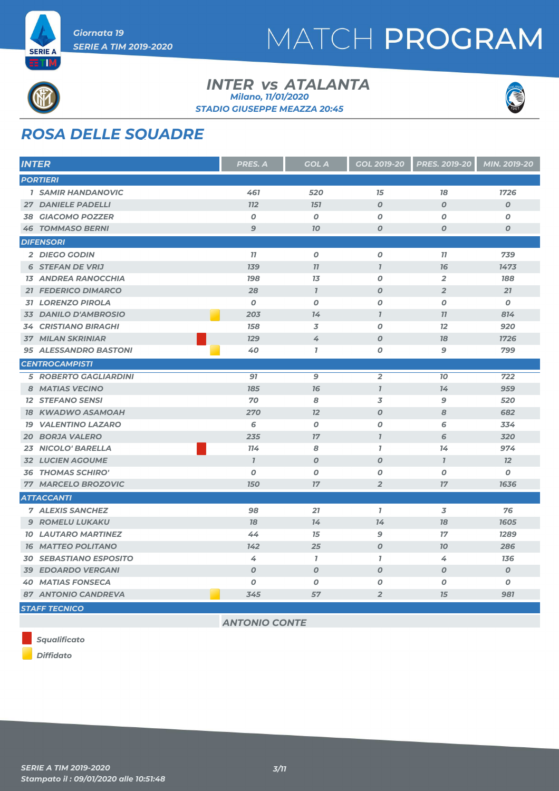



## *ROSA DELLE SQUADRE*

| <b>INTER</b>                  | <b>PRES. A</b>   | <b>GOL A</b>     | <b>GOL 2019-20</b> | <b>PRES. 2019-20</b> | MIN. 2019-20     |
|-------------------------------|------------------|------------------|--------------------|----------------------|------------------|
| <b>PORTIERI</b>               |                  |                  |                    |                      |                  |
| <b>1 SAMIR HANDANOVIC</b>     | 461              | 520              | 15                 | 18                   | 1726             |
| <b>27 DANIELE PADELLI</b>     | <b>112</b>       | <b>151</b>       | $\boldsymbol{O}$   | $\boldsymbol{O}$     | $\boldsymbol{O}$ |
| <b>38 GIACOMO POZZER</b>      | O                | 0                | O                  | O                    | 0                |
| <b>46 TOMMASO BERNI</b>       | 9                | 70               | $\boldsymbol{O}$   | $\boldsymbol{O}$     | $\boldsymbol{O}$ |
| <b>DIFENSORI</b>              |                  |                  |                    |                      |                  |
| 2 DIEGO GODIN                 | 77               | $\boldsymbol{o}$ | 0                  | 11                   | 739              |
| <b>6 STEFAN DE VRIJ</b>       | <b>139</b>       | 77               | $\overline{I}$     | 76                   | 1473             |
| <b>13 ANDREA RANOCCHIA</b>    | <b>198</b>       | 13               | 0                  | $\overline{2}$       | 188              |
| <b>21 FEDERICO DIMARCO</b>    | 28               | $\overline{I}$   | $\boldsymbol{O}$   | $\overline{2}$       | 21               |
| <b>31 LORENZO PIROLA</b>      | 0                | O                | 0                  | O                    | 0                |
| 33 DANILO D'AMBROSIO          | 203              | 74               | $\overline{1}$     | 77                   | 814              |
| <b>34 CRISTIANO BIRAGHI</b>   | 158              | 3                | $\boldsymbol{O}$   | 12                   | 920              |
| <b>37 MILAN SKRINIAR</b>      | <b>129</b>       | 4                | $\boldsymbol{O}$   | 18                   | 1726             |
| <b>95 ALESSANDRO BASTONI</b>  | 40               | $\overline{1}$   | O                  | 9                    | 799              |
| <b>CENTROCAMPISTI</b>         |                  |                  |                    |                      |                  |
| <b>5 ROBERTO GAGLIARDINI</b>  | 97               | 9                | $\overline{2}$     | 70                   | 722              |
| <b>8 MATIAS VECINO</b>        | 185              | 76               | $\overline{I}$     | 14                   | 959              |
| <b>12 STEFANO SENSI</b>       | 70               | 8                | 3                  | 9                    | 520              |
| <b>18 KWADWO ASAMOAH</b>      | 270              | 12               | $\boldsymbol{O}$   | 8                    | 682              |
| <b>19 VALENTINO LAZARO</b>    | 6                | 0                | $\boldsymbol{O}$   | 6                    | 334              |
| <b>20 BORJA VALERO</b>        | 235              | 17               | $\overline{I}$     | 6                    | 320              |
| 23 NICOLO' BARELLA            | 114              | 8                | $\mathbf{I}$       | 14                   | 974              |
| <b>32 LUCIEN AGOUME</b>       | $\mathbf{7}$     | $\boldsymbol{0}$ | $\boldsymbol{O}$   | $\mathbf{I}$         | 12               |
| <b>36 THOMAS SCHIRO'</b>      | O                | O                | $\boldsymbol{O}$   | O                    | 0                |
| 77 MARCELO BROZOVIC           | <b>150</b>       | 17               | $\overline{2}$     | 17                   | 1636             |
| <b>ATTACCANTI</b>             |                  |                  |                    |                      |                  |
| <b>7 ALEXIS SANCHEZ</b>       | 98               | 21               | $\mathbf{I}$       | 3                    | 76               |
| <b>9 ROMELU LUKAKU</b>        | 78               | 14               | 14                 | 78                   | 1605             |
| <b>10 LAUTARO MARTINEZ</b>    | 44               | 15               | 9                  | 17                   | 1289             |
| <b>16 MATTEO POLITANO</b>     | 142              | 25               | $\boldsymbol{O}$   | 70                   | 286              |
| <b>30 SEBASTIANO ESPOSITO</b> | 4                | 1                | $\overline{1}$     | 4                    | 136              |
| <b>39 EDOARDO VERGANI</b>     | $\boldsymbol{O}$ | $\boldsymbol{O}$ | $\boldsymbol{O}$   | $\boldsymbol{O}$     | $\boldsymbol{0}$ |
| <b>40 MATIAS FONSECA</b>      | $\boldsymbol{0}$ | 0                | 0                  | O                    | 0                |
| 87 ANTONIO CANDREVA           | 345              | 57               | $\overline{2}$     | 15                   | 981              |
| <b>STAFF TECNICO</b>          |                  |                  |                    |                      |                  |

**INTER vs ATALANTA** 

*STADIO GIUSEPPE MEAZZA 20:45 Milano, 11/01/2020*

*ANTONIO CONTE*

*Squalificato*

*Diffidato*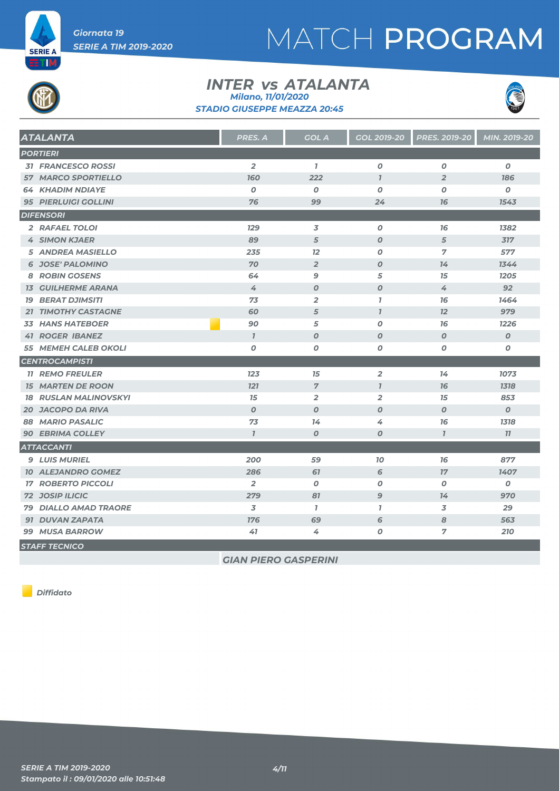

## MATCH PROGRAM

#### **INTER vs ATALANTA** *STADIO GIUSEPPE MEAZZA 20:45 Milano, 11/01/2020*



| <b>ATALANTA</b>              | <b>PRES. A</b>   | <b>GOL A</b>     | <b>GOL 2019-20</b> | <b>PRES. 2019-20</b> | MIN. 2019-20     |
|------------------------------|------------------|------------------|--------------------|----------------------|------------------|
| <b>PORTIERI</b>              |                  |                  |                    |                      |                  |
| <b>31 FRANCESCO ROSSI</b>    | $\overline{2}$   | $\mathbf{7}$     | $\boldsymbol{o}$   | $\boldsymbol{o}$     | $\boldsymbol{o}$ |
| <b>57 MARCO SPORTIELLO</b>   | <b>160</b>       | 222              | $\overline{I}$     | $\overline{2}$       | 186              |
| <b>64 KHADIM NDIAYE</b>      | $\boldsymbol{0}$ | $\pmb{o}$        | 0                  | O                    | O                |
| <b>95 PIERLUIGI GOLLINI</b>  | 76               | 99               | 24                 | 16                   | 1543             |
| <b>DIFENSORI</b>             |                  |                  |                    |                      |                  |
| 2 RAFAEL TOLOI               | <b>129</b>       | 3                | 0                  | 76                   | 1382             |
| <b>4 SIMON KJAER</b>         | 89               | $\sqrt{5}$       | $\boldsymbol{o}$   | 5                    | 317              |
| <b>5 ANDREA MASIELLO</b>     | 235              | 12               | 0                  | $\overline{7}$       | 577              |
| <b>6 JOSE' PALOMINO</b>      | 70               | $\overline{2}$   | $\boldsymbol{o}$   | 14                   | 1344             |
| <b>8 ROBIN GOSENS</b>        | 64               | 9                | 5                  | 15                   | 1205             |
| <b>13 GUILHERME ARANA</b>    | 4                | $\boldsymbol{O}$ | $\boldsymbol{o}$   | 4                    | 92               |
| <b>19 BERAT DJIMSITI</b>     | 73               | $\overline{2}$   | $\mathbf{I}$       | 76                   | 1464             |
| 21 TIMOTHY CASTAGNE          | 60               | 5                | $\mathbf{7}$       | 12                   | 979              |
| <b>33 HANS HATEBOER</b>      | 90               | 5                | 0                  | 76                   | 1226             |
| <b>41 ROGER IBANEZ</b>       | $\mathbf{I}$     | $\boldsymbol{O}$ | $\boldsymbol{o}$   | $\boldsymbol{0}$     | $\boldsymbol{O}$ |
| 55 MEMEH CALEB OKOLI         | 0                | 0                | 0                  | O                    | 0                |
| <b>CENTROCAMPISTI</b>        |                  |                  |                    |                      |                  |
| <b>11 REMO FREULER</b>       | 123              | 15               | $\overline{a}$     | 14                   | 1073             |
| <b>15 MARTEN DE ROON</b>     | 121              | $\overline{7}$   | $\mathbf{7}$       | 76                   | 1318             |
| <b>18 RUSLAN MALINOVSKYI</b> | 15               | $\overline{2}$   | $\overline{2}$     | 15                   | 853              |
| <b>20 JACOPO DA RIVA</b>     | $\boldsymbol{0}$ | $\boldsymbol{0}$ | $\boldsymbol{0}$   | $\boldsymbol{0}$     | $\boldsymbol{0}$ |
| 88 MARIO PASALIC             | 73               | 14               | 4                  | 76                   | 1318             |
| <b>90 EBRIMA COLLEY</b>      | $\overline{I}$   | $\boldsymbol{O}$ | $\boldsymbol{O}$   | $\overline{I}$       | 11               |
| <b>ATTACCANTI</b>            |                  |                  |                    |                      |                  |
| <b>9 LUIS MURIEL</b>         | 200              | 59               | 10                 | 76                   | 877              |
| <b>10 ALEJANDRO GOMEZ</b>    | 286              | 67               | 6                  | 17                   | 1407             |
| <b>17 ROBERTO PICCOLI</b>    | $\overline{2}$   | 0                | 0                  | 0                    | 0                |
| <b>72 JOSIP ILICIC</b>       | 279              | 81               | 9                  | 14                   | 970              |
| <b>79 DIALLO AMAD TRAORE</b> | 3                | $\mathbf{7}$     | $\mathbf{7}$       | 3                    | 29               |
| <b>91 DUVAN ZAPATA</b>       | 176              | 69               | 6                  | 8                    | 563              |
| 99 MUSA BARROW               | 41               | 4                | 0                  | 7                    | 210              |
| <b>STAFF TECNICO</b>         |                  |                  |                    |                      |                  |

*GIAN PIERO GASPERINI*

*Diffidato*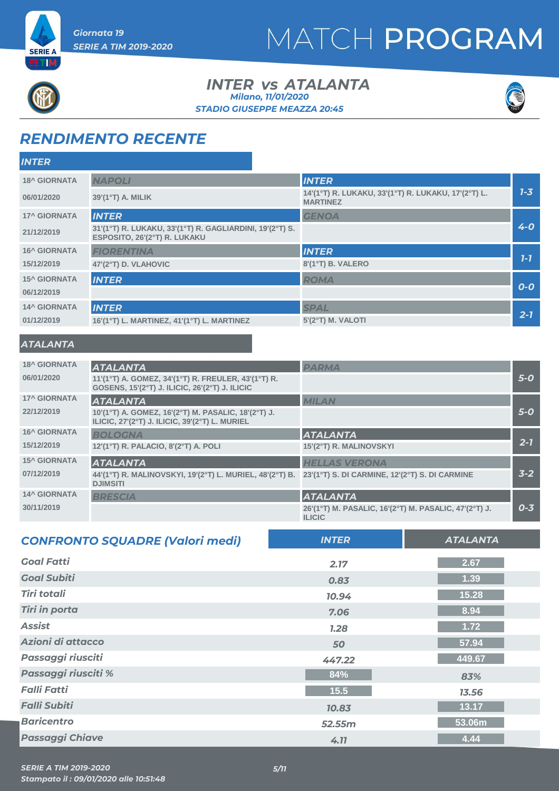



### **INTER vs ATALANTA** *STADIO GIUSEPPE MEAZZA 20:45 Milano, 11/01/2020*



### *RENDIMENTO RECENTE*

| <b>INTER</b>        |                                                                                          |                                                                        |         |
|---------------------|------------------------------------------------------------------------------------------|------------------------------------------------------------------------|---------|
| <b>18^ GIORNATA</b> | <b>NAPOLI</b>                                                                            | <b>INTER</b>                                                           |         |
| 06/01/2020          | $39'(1^{\circ}T)$ A. MILIK                                                               | 14'(1°T) R. LUKAKU, 33'(1°T) R. LUKAKU, 17'(2°T) L.<br><b>MARTINEZ</b> | $7 - 3$ |
| <b>17^ GIORNATA</b> | <b>INTER</b>                                                                             | <b>GENOA</b>                                                           |         |
| 21/12/2019          | 31'(1°T) R. LUKAKU, 33'(1°T) R. GAGLIARDINI, 19'(2°T) S.<br>ESPOSITO, 26'(2°T) R. LUKAKU |                                                                        | $4 - 0$ |
| <b>16^ GIORNATA</b> | <b>FIORENTINA</b>                                                                        | <b>INTER</b>                                                           |         |
| 15/12/2019          | 47'(2°T) D. VLAHOVIC                                                                     | 8'(1°T) B. VALERO                                                      | $1 - 7$ |
| <b>15^ GIORNATA</b> | <b>INTER</b>                                                                             | <b>ROMA</b>                                                            |         |
| 06/12/2019          |                                                                                          |                                                                        | $O-O$   |
| <b>14^ GIORNATA</b> | <b>INTER</b>                                                                             | <b>SPAL</b>                                                            |         |
| 01/12/2019          | 16'(1°T) L. MARTINEZ, 41'(1°T) L. MARTINEZ                                               | $5'(2°T)$ M. VALOTI                                                    | $2 - 7$ |

#### *ATALANTA*

| <b>18^ GIORNATA</b> | <b>ATALANTA</b>                                                                                       | <b>PARMA</b>                                                           |         |
|---------------------|-------------------------------------------------------------------------------------------------------|------------------------------------------------------------------------|---------|
| 06/01/2020          | 11'(1°T) A. GOMEZ, 34'(1°T) R. FREULER, 43'(1°T) R.<br>GOSENS, 15'(2°T) J. ILICIC, 26'(2°T) J. ILICIC |                                                                        | $5-0$   |
| <b>17^ GIORNATA</b> | <b>ATALANTA</b>                                                                                       | <b>MILAN</b>                                                           |         |
| 22/12/2019          | 10'(1°T) A. GOMEZ, 16'(2°T) M. PASALIC, 18'(2°T) J.<br>ILICIC, 27'(2°T) J. ILICIC, 39'(2°T) L. MURIEL |                                                                        | $5-0$   |
| <b>16^ GIORNATA</b> | <b>BOLOGNA</b>                                                                                        | <b>ATALANTA</b>                                                        |         |
| 15/12/2019          | 12'(1°T) R. PALACIO, 8'(2°T) A. POLI                                                                  | 15'(2°T) R. MALINOVSKYI                                                | $2 - 7$ |
| <b>15^ GIORNATA</b> | <b>ATALANTA</b>                                                                                       | <b>HELLAS VERONA</b>                                                   |         |
| 07/12/2019          | 44'(1°T) R. MALINOVSKYI, 19'(2°T) L. MURIEL, 48'(2°T) B.<br><b>DJIMSITI</b>                           | 23'(1°T) S. DI CARMINE, 12'(2°T) S. DI CARMINE                         | $3 - 2$ |
| <b>14^ GIORNATA</b> | <b>BRESCIA</b>                                                                                        | <b>ATALANTA</b>                                                        |         |
| 30/11/2019          |                                                                                                       | 26'(1°T) M. PASALIC, 16'(2°T) M. PASALIC, 47'(2°T) J.<br><b>ILICIC</b> | $0 - 3$ |

| <b>CONFRONTO SQUADRE (Valori medi)</b> | <b>INTER</b> | <b>ATALANTA</b> |
|----------------------------------------|--------------|-----------------|
| <b>Goal Fatti</b>                      | 2.17         | 2.67            |
| <b>Goal Subiti</b>                     | 0.83         | 1.39            |
| <b>Tiri totali</b>                     | 10.94        | 15.28           |
| <b>Tiri in porta</b>                   | 7.06         | 8.94            |
| <b>Assist</b>                          | 7.28         | 1.72            |
| Azioni di attacco                      | 50           | 57.94           |
| Passaggi riusciti                      | 447.22       | 449.67          |
| Passaggi riusciti %                    | 84%          | 83%             |
| <b>Falli Fatti</b>                     | 15.5         | 13.56           |
| <b>Falli Subiti</b>                    | 10.83        | 13.17           |
| <b>Baricentro</b>                      | 52.55m       | 53.06m          |
| <b>Passaggi Chiave</b>                 | 4.11         | 4.44            |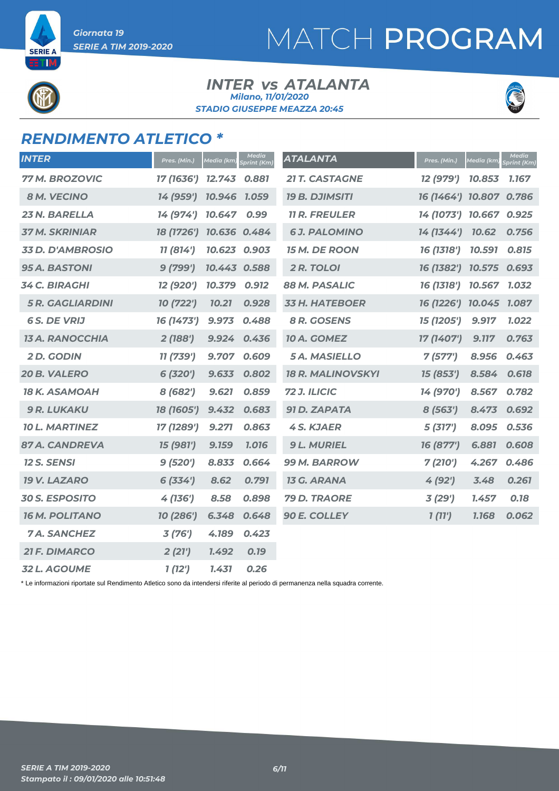**SERIE A** ri IM

## MATCH PROGRAM

#### **INTER vs ATALANTA** *STADIO GIUSEPPE MEAZZA 20:45 Milano, 11/01/2020*



### *RENDIMENTO ATLETICO \**

| <b>INTER</b>            | Pres. (Min.) | Media (km)   | <b>Media</b><br>Sprint (Km) | <b>ATALANTA</b>          | Pres. (Min.)            | <b>Media</b> (km) | <b>Media</b><br>Sprint (Km) |
|-------------------------|--------------|--------------|-----------------------------|--------------------------|-------------------------|-------------------|-----------------------------|
| <b>77 M. BROZOVIC</b>   | 17 (1636')   | 12.743       | 0.881                       | <b>21 T. CASTAGNE</b>    | 12 (979')               | 10.853            | 1.167                       |
| <b>8 M. VECINO</b>      | 14 (959')    | 10.946 1.059 |                             | <b>19 B. DJIMSITI</b>    | 16 (1464') 10.807 0.786 |                   |                             |
| 23 N. BARELLA           | 14 (974')    | 10.647       | 0.99                        | <b>11 R. FREULER</b>     | 14 (1073') 10.667 0.925 |                   |                             |
| <b>37 M. SKRINIAR</b>   | 18 (1726')   | 10.636 0.484 |                             | <b>6J. PALOMINO</b>      | 14 (1344')              | 10.62             | 0.756                       |
| <b>33 D. D'AMBROSIO</b> | 11 (814')    | 10.623 0.903 |                             | <b>15 M. DE ROON</b>     | 16 (1318')              | 10.591            | 0.815                       |
| <b>95 A. BASTONI</b>    | 9(799')      | 10.443 0.588 |                             | 2 R. TOLOI               | 16 (1382')              | 10.575            | 0.693                       |
| <b>34 C. BIRAGHI</b>    | 12 (920')    | 10.379       | 0.912                       | 88 M. PASALIC            | 16 (1318')              | 10.567            | 1.032                       |
| <b>5 R. GAGLIARDINI</b> | 10 (722')    | 10.21        | 0.928                       | <b>33 H. HATEBOER</b>    | 16 (1226') 10.045 1.087 |                   |                             |
| <b>6 S. DE VRIJ</b>     | 16 (1473')   | 9.973        | 0.488                       | 8 R. GOSENS              | 15 (1205')              | 9.917             | 1.022                       |
| <b>13 A. RANOCCHIA</b>  | 2(188')      | 9.924        | 0.436                       | 10 A. GOMEZ              | 17 (1407')              | 9.777             | 0.763                       |
| <b>2D. GODIN</b>        | 11 (739')    | 9.707        | 0.609                       | <b>5A. MASIELLO</b>      | 7(577)                  | 8.956             | 0.463                       |
| 20 B. VALERO            | 6(320')      | 9.633        | 0.802                       | <b>18 R. MALINOVSKYI</b> | 15 (853')               | 8.584             | 0.618                       |
| <b>18 K. ASAMOAH</b>    | 8 (682')     | 9.621        | 0.859                       | 72 J. ILICIC             | 14 (970')               | 8.567             | 0.782                       |
| <b>9 R. LUKAKU</b>      | 18 (1605')   | 9.432        | 0.683                       | 91 D. ZAPATA             | 8 (563')                | 8.473             | 0.692                       |
| <b>10 L. MARTINEZ</b>   | 17 (1289')   | 9.271        | 0.863                       | <b>4 S. KJAER</b>        | 5 (317')                | 8.095             | 0.536                       |
| 87 A. CANDREVA          | 15 (981')    | 9.159        | 1.016                       | <b>9 L. MURIEL</b>       | 16 (877')               | 6.881             | 0.608                       |
| <b>12 S. SENSI</b>      | 9(520')      | 8.833        | 0.664                       | 99 M. BARROW             | 7(210')                 | 4.267             | 0.486                       |
| <b>19 V. LAZARO</b>     | 6(334)       | 8.62         | 0.791                       | <b>13 G. ARANA</b>       | 4 (92')                 | 3.48              | 0.261                       |
| <b>30 S. ESPOSITO</b>   | 4 (136')     | 8.58         | 0.898                       | 79 D. TRAORE             | 3 (29')                 | 1.457             | 0.18                        |
| <b>16 M. POLITANO</b>   | 10 (286')    | 6.348        | 0.648                       | <b>90 E. COLLEY</b>      | 1(11')                  | 1.168             | 0.062                       |
| <b>7A. SANCHEZ</b>      | 3(76')       | 4.189        | 0.423                       |                          |                         |                   |                             |
| <b>21 F. DIMARCO</b>    | 2(21')       | 1.492        | 0.19                        |                          |                         |                   |                             |
| 32 L. AGOUME            | 1(12')       | 1.431        | 0.26                        |                          |                         |                   |                             |

\* Le informazioni riportate sul Rendimento Atletico sono da intendersi riferite al periodo di permanenza nella squadra corrente.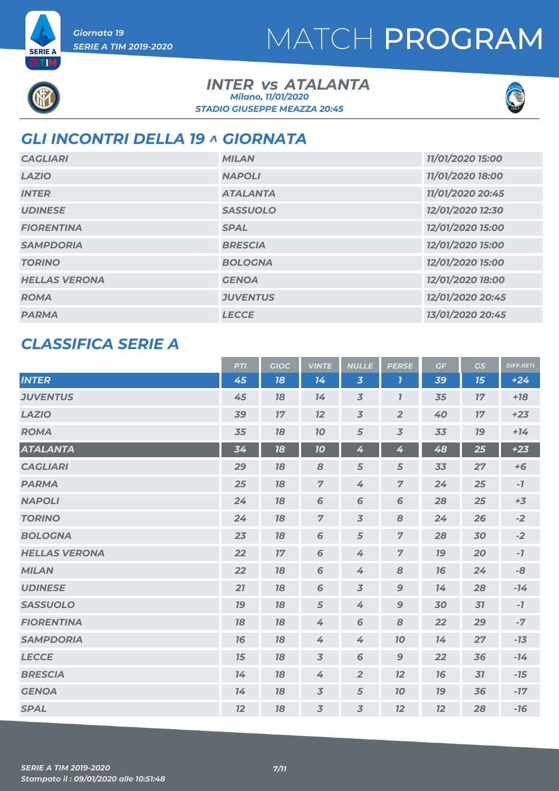

**SERIE A** ETM

#### **INTER vs ATALANTA** *STADIO GIUSEPPE MEAZZA 20:45 Milano, 11/01/2020*



### *GLI INCONTRI DELLA 19 ^ GIORNATA*

| <b>CAGLIARI</b>      | <b>MILAN</b>    | 11/01/2020 15:00 |
|----------------------|-----------------|------------------|
| <b>LAZIO</b>         | <b>NAPOLI</b>   | 11/01/2020 18:00 |
| <b>INTER</b>         | <b>ATALANTA</b> | 11/01/2020 20:45 |
| <b>UDINESE</b>       | <b>SASSUOLO</b> | 12/01/2020 12:30 |
| <b>FIORENTINA</b>    | <b>SPAL</b>     | 12/01/2020 15:00 |
| <b>SAMPDORIA</b>     | <b>BRESCIA</b>  | 12/01/2020 15:00 |
| <b>TORINO</b>        | <b>BOLOGNA</b>  | 12/01/2020 15:00 |
| <b>HELLAS VERONA</b> | <b>GENOA</b>    | 12/01/2020 18:00 |
| <b>ROMA</b>          | <b>JUVENTUS</b> | 12/01/2020 20:45 |
| <b>PARMA</b>         | <b>LECCE</b>    | 13/01/2020 20:45 |

### *CLASSIFICA SERIE A*

|                      | <b>PTI</b> | <b>GIOC</b> | <b>VINTE</b>             | <b>NULLE</b>   | <b>PERSE</b>   | GF        | GS        | <b>DIFF.RETI</b> |
|----------------------|------------|-------------|--------------------------|----------------|----------------|-----------|-----------|------------------|
| <b>INTER</b>         | 45         | 18          | 14                       | $\overline{3}$ | $\mathbf{7}$   | 39        | 15        | $+24$            |
| <b>JUVENTUS</b>      | 45         | 18          | 14                       | $\overline{3}$ | $\overline{I}$ | 35        | 17        | $+18$            |
| <b>LAZIO</b>         | 39         | 17          | 12                       | $\overline{3}$ | $\overline{2}$ | 40        | 17        | $+23$            |
| <b>ROMA</b>          | 35         | 18          | 10                       | 5              | $\overline{3}$ | 33        | <b>19</b> | $+14$            |
| <b>ATALANTA</b>      | 34         | 18          | 10 <sub>o</sub>          | 4              | 4              | 48        | 25        | $+23$            |
| <b>CAGLIARI</b>      | 29         | 18          | 8                        | 5              | 5              | 33        | 27        | $+6$             |
| <b>PARMA</b>         | 25         | 78          | $\overline{7}$           | 4              | $\overline{7}$ | 24        | 25        | $-7$             |
| <b>NAPOLI</b>        | 24         | 18          | 6                        | 6              | 6              | 28        | 25        | $+3$             |
| <b>TORINO</b>        | 24         | 18          | $\overline{7}$           | $\overline{3}$ | 8              | 24        | 26        | $-2$             |
| <b>BOLOGNA</b>       | 23         | 18          | 6                        | 5              | $\overline{z}$ | 28        | 30        | $-2$             |
| <b>HELLAS VERONA</b> | 22         | 17          | 6                        | 4              | $\overline{z}$ | <b>19</b> | 20        | $-7$             |
| <b>MILAN</b>         | 22         | 78          | 6                        | 4              | 8              | 16        | 24        | -8               |
| <b>UDINESE</b>       | 21         | 78          | 6                        | $\overline{3}$ | $\mathbf{9}$   | 74        | 28        | $-14$            |
| <b>SASSUOLO</b>      | 19         | 18          | 5                        | 4              | $\mathbf{9}$   | 30        | 31        | $-7$             |
| <b>FIORENTINA</b>    | 18         | 18          | 4                        | 6              | 8              | 22        | 29        | $-7$             |
| <b>SAMPDORIA</b>     | 16         | 18          | 4                        | 4              | 10             | 14        | 27        | $-13$            |
| <b>LECCE</b>         | 15         | 18          | $\overline{3}$           | 6              | $\mathbf 9$    | 22        | 36        | $-14$            |
| <b>BRESCIA</b>       | 14         | 18          | 4                        | $\overline{2}$ | 12             | 76        | 31        | $-15$            |
| <b>GENOA</b>         | 14         | 18          | $\overline{\mathcal{Z}}$ | $\sqrt{5}$     | 10             | 79        | 36        | $-17$            |
| <b>SPAL</b>          | 12         | 18          | $\overline{3}$           | $\overline{3}$ | 12             | 12        | 28        | $-16$            |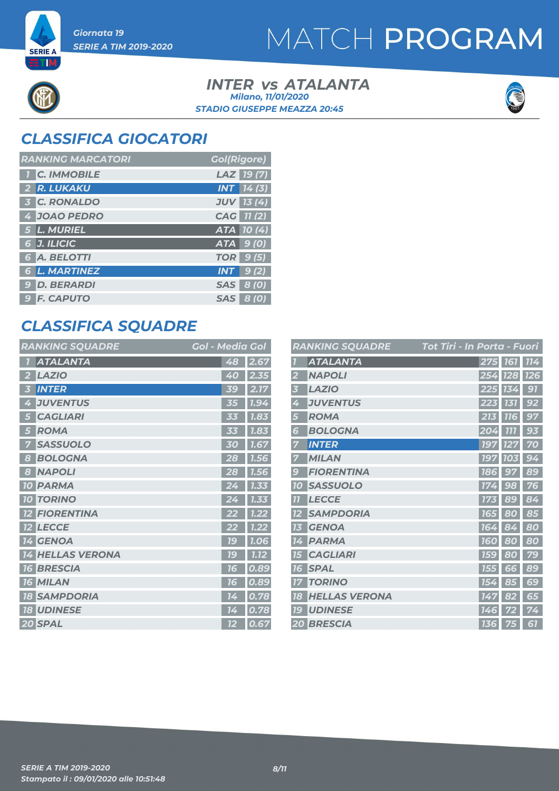

**SERIE A** ETM

## MATCH PROGRAM

#### **INTER vs ATALANTA** *STADIO GIUSEPPE MEAZZA 20:45 Milano, 11/01/2020*



### *CLASSIFICA GIOCATORI*

| <b>RANKING MARCATORI</b> | <b>Gol(Rigore)</b> |
|--------------------------|--------------------|
| <b>C. IMMOBILE</b>       | LAZ 19(7)          |
| 2 R. LUKAKU              | $INT$ $14(3)$      |
| <b>3 C. RONALDO</b>      | <b>JUV 13 (4)</b>  |
| 4 JOAO PEDRO             | CAG 11 (2)         |
| 5 L. MURIEL              | ATA 10(4)          |
| 6 J. ILICIC              | $ATA$ 9 (0)        |
| 6 A. BELOTTI             | <b>TOR</b> 9 (5)   |
| <b>6 L. MARTINEZ</b>     | 9(2)<br><b>INT</b> |
| 9 D. BERARDI             | SAS 8 (0)          |
| <b>9 F. CAPUTO</b>       | <b>SAS 8 (0)</b>   |

### *CLASSIFICA SQUADRE*

|                   | <b>RANKING SQUADRE</b> | <b>Gol - Media Gol</b> |      |
|-------------------|------------------------|------------------------|------|
|                   | <b>ATALANTA</b>        | 48                     | 2.67 |
|                   | <b>LAZIO</b>           | 40                     | 2.35 |
| 3                 | <b>INTER</b>           | 39                     | 2.17 |
| 4                 | <b>JUVENTUS</b>        | 35                     | 7.94 |
| 15                | <b>CAGLIARI</b>        | にに                     | 1.83 |
| 5                 | <b>ROMA</b>            | 33                     | 1.83 |
|                   | <b>SASSUOLO</b>        | 30                     | 1.67 |
| 8                 | <b>BOLOGNA</b>         | 28                     | 7.56 |
| 8                 | <b>NAPOLI</b>          | 28                     | 1.56 |
| <b>10</b>         | <b>PARMA</b>           |                        | 1.33 |
| 10 <sup>1</sup>   | <b>TORINO</b>          |                        | 1.33 |
|                   | <b>FIORENTINA</b>      |                        | 1.22 |
| $12 \overline{ }$ | <b>LECCE</b>           | 22                     | 1.22 |
|                   | 14 GENOA               | <b>79</b>              | 1.06 |
| 74                | <b>HELLAS VERONA</b>   | 1G                     | 1.12 |
| <b>16</b>         | <b>BRESCIA</b>         | 76                     | 0.89 |
| <b>16</b>         | <b>MILAN</b>           | 16                     | 0.89 |
| <b>18</b>         | <b>SAMPDORIA</b>       | 14                     | 0.78 |
|                   | <b>18 UDINESE</b>      | 14                     | 0.78 |
|                   | 20 SPAL                | 12                     | 0.67 |

|                  | <b>RANKING SQUADRE</b> | Tot Tiri - In Porta - Fuori     |
|------------------|------------------------|---------------------------------|
|                  | <b>ATALANTA</b>        | 275 161<br>114                  |
|                  | <b>NAPOLI</b>          | 254<br><b>128</b><br><b>126</b> |
| 3                | <b>LAZIO</b>           | 91<br>134<br>225                |
| 4                | <b>JUVENTUS</b>        | 92<br>223<br>131                |
| 5                | <b>ROMA</b>            | 97<br>213<br><b>116</b>         |
| 6                | <b>BOLOGNA</b>         | 777<br>93<br>204                |
| 7                | <b>INTER</b>           | 70<br><b>197</b><br>127         |
| 7                | <b>MILAN</b>           | <b>197</b><br>94<br><b>103</b>  |
| $\boldsymbol{g}$ | <b>FIORENTINA</b>      | <b>186</b><br>89<br>97          |
| <b>10</b>        | <b>SASSUOLO</b>        | 76<br>174<br>98                 |
| $\overline{1}$   | <b>LECCE</b>           | 89<br>84<br>173                 |
|                  | <b>SAMPDORIA</b>       | 85<br><b>165</b><br>80          |
| 13               | <b>GENOA</b>           | 164<br>80<br>84                 |
| 14               | <b>PARMA</b>           | 80<br>80<br><b>160</b>          |
| 15               | <b>CAGLIARI</b>        | 79<br><b>159</b><br>80          |
| 16               | <b>SPAL</b>            | 89<br>155<br>6<br>6             |
|                  | <b>TORINO</b>          | 85<br>69<br>154                 |
| 18               | <b>HELLAS VERONA</b>   | 65<br>147<br>82                 |
| <b>19</b>        | <b>UDINESE</b>         | 74<br>146<br>72                 |
|                  | <b>20 BRESCIA</b>      | 61<br><b>136</b><br>75          |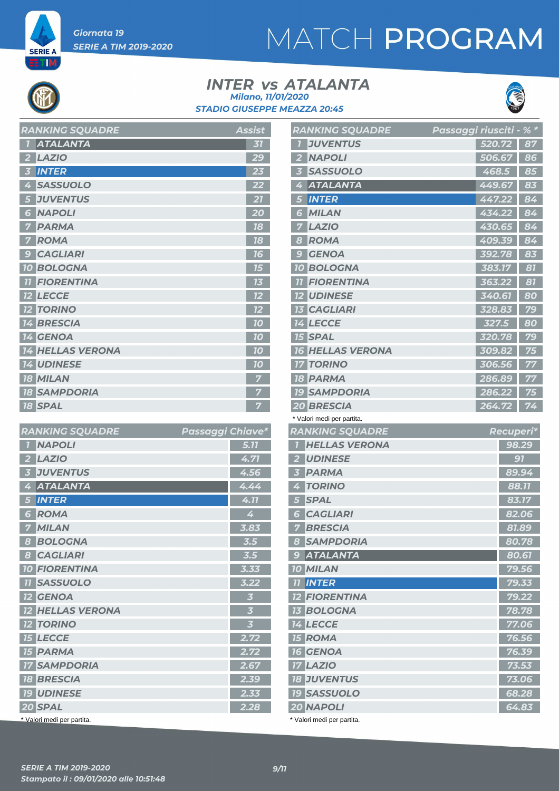**SERIE A** ETM

# MATCH PROGRAM

#### **INTER vs ATALANTA** *STADIO GIUSEPPE MEAZZA 20:45 Milano, 11/01/2020*



| <b>RANKING SQUADRE</b>  | <b>Assist</b> |
|-------------------------|---------------|
| <b>ATALANTA</b>         | 31            |
| <b>LAZIO</b>            | 29            |
| <b>INTER</b><br>3       | 23            |
| <b>SASSUOLO</b><br>4    | 22            |
| <b>JUVENTUS</b><br>5    | 21            |
| <b>NAPOLI</b><br>6      | 20            |
| <b>PARMA</b>            | 18            |
| <b>ROMA</b>             | 18            |
| <b>CAGLIARI</b><br>g    | 16            |
| <b>10 BOLOGNA</b>       | 75            |
| <b>FIORENTINA</b>       | 73            |
| <b>12 LECCE</b>         | 12            |
| <b>TORINO</b>           | 12            |
| <b>14 BRESCIA</b>       | 70            |
| <b>14 GENOA</b>         | 10            |
| <b>14 HELLAS VERONA</b> | 70            |
| <b>14 UDINESE</b>       | 10            |
| <b>18 MILAN</b>         | 7             |
| <b>18 SAMPDORIA</b>     |               |
| <b>18 SPAL</b>          | 7             |

| <b>RANKING SQUADRE</b>     | Passaggi Chiave*        |
|----------------------------|-------------------------|
| <b>NAPOLI</b>              | 5.77                    |
| <b>LAZIO</b><br>2          | 4.71                    |
| <b>JUVENTUS</b><br>3       | 4.56                    |
| <b>ATALANTA</b><br>4       | 4.44                    |
| <b>INTER</b><br>5          | 4.11                    |
| <b>ROMA</b><br>6           | 4                       |
| <b>MILAN</b>               | 3.83                    |
| <b>BOLOGNA</b><br>8        | 3.5                     |
| <b>CAGLIARI</b><br>8       | 3.5                     |
| <b>10 FIORENTINA</b>       | 3.33                    |
| <b>11 SASSUOLO</b>         | 3.22                    |
| <b>12 GENOA</b>            | $\overline{\mathbf{3}}$ |
| <b>12 HELLAS VERONA</b>    | $\overline{\mathbf{3}}$ |
| <b>12 TORINO</b>           | $\overline{\mathbf{3}}$ |
| <b>15 LECCE</b>            | 2.72                    |
| <b>15 PARMA</b>            | 2.72                    |
| <b>17 SAMPDORIA</b>        | 2.67                    |
| <b>18 BRESCIA</b>          | 2.39                    |
| <b>19 UDINESE</b>          | 2.33                    |
| 20 SPAL                    | 2.28                    |
| * Valori medi per partita. |                         |

|                | <b>RANKING SQUADRE</b>                 | Passaggi riusciti - % * |        |           |                |
|----------------|----------------------------------------|-------------------------|--------|-----------|----------------|
| 71             | <b>JUVENTUS</b>                        |                         | 520.72 |           | 87             |
| 2              | <b>NAPOLI</b>                          |                         | 506.67 |           | 86             |
| 3              | <b>SASSUOLO</b>                        |                         | 468.5  |           | 85             |
| 4              | <b>ATALANTA</b>                        |                         | 449.67 |           | 83             |
| 5              | <b>INTER</b>                           |                         | 447.22 |           | 84             |
| 6              | <b>MILAN</b>                           |                         | 434.22 |           | 84             |
|                | <b>LAZIO</b>                           |                         | 430.65 |           | 84             |
| 8              | <b>ROMA</b>                            |                         | 409.39 |           | 84             |
| -9             | <b>GENOA</b>                           |                         | 392.78 |           | 83             |
|                | <b>10 BOLOGNA</b>                      |                         | 383.17 |           | 81             |
| 77             | <b>FIORENTINA</b>                      |                         | 363.22 |           | 81             |
|                | <b>12 UDINESE</b>                      |                         | 340.61 |           | 80             |
|                | <b>13 CAGLIARI</b>                     |                         | 328.83 |           | 79             |
|                | <b>14 LECCE</b>                        |                         | 327.5  |           | 80             |
|                | <b>15 SPAL</b>                         |                         | 320.78 |           | 79             |
|                | <b>16 HELLAS VERONA</b>                |                         | 309.82 |           | 75             |
| 17             | <b>TORINO</b>                          |                         | 306.56 |           | 77             |
|                | <b>18 PARMA</b>                        |                         | 286.89 |           | 77             |
|                | <b>19 SAMPDORIA</b>                    |                         | 286.22 |           | 75             |
|                | 20 BRESCIA                             |                         | 264.72 |           | 74             |
|                |                                        |                         |        |           |                |
|                | * Valori medi per partita.             |                         |        |           |                |
|                | <b>RANKING SQUADRE</b>                 |                         |        | Recuperi* |                |
| $\mathbf{Z}$   | <b>HELLAS VERONA</b>                   |                         |        |           | 98.29          |
|                | 2 UDINESE                              |                         |        |           | 91             |
| $\overline{3}$ | <b>PARMA</b>                           |                         |        |           | 89.94          |
| $\frac{1}{4}$  | <b>TORINO</b>                          |                         |        |           | 88.11          |
| 5              | <b>SPAL</b>                            |                         |        |           | 83.17          |
| $6^{\circ}$    | <b>CAGLIARI</b>                        |                         |        |           | 82.06          |
|                | <b>7 BRESCIA</b>                       |                         |        |           | 81.89          |
|                | <b>8 SAMPDORIA</b>                     |                         |        |           | 80.78          |
|                | 9 ATALANTA                             |                         |        |           | 80.61          |
|                | <b>10 MILAN</b>                        |                         |        |           | 79.56          |
|                | <b>11 INTER</b>                        |                         |        |           | 79.33          |
|                | <b>12 FIORENTINA</b>                   |                         |        |           | 79.22          |
|                | <b>13 BOLOGNA</b>                      |                         |        |           | 78.78          |
|                | <b>14 LECCE</b>                        |                         |        |           | 77.06          |
|                | <b>15 ROMA</b>                         |                         |        |           | 76.56          |
|                | <b>16 GENOA</b>                        |                         |        |           | 76.39          |
|                | <b>17 LAZIO</b>                        |                         |        |           | 73.53          |
|                | <b>18 JUVENTUS</b>                     |                         |        |           | 73.06          |
|                | <b>19 SASSUOLO</b><br><b>20 NAPOLI</b> |                         |        |           | 68.28<br>64.83 |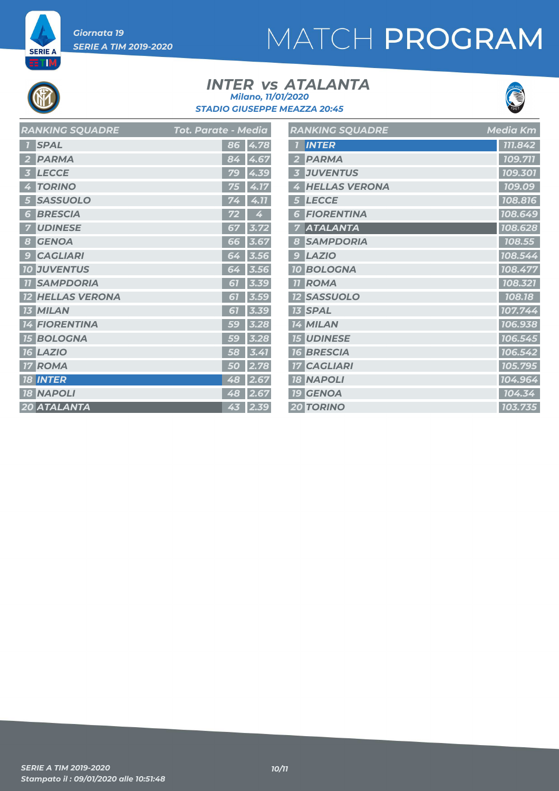**SERIE A ETIM** 

# MATCH PROGRAM

#### **INTER vs ATALANTA** *STADIO GIUSEPPE MEAZZA 20:45 Milano, 11/01/2020*



| <b>RANKING SQUADRE</b>  | <b>Tot. Parate - Media</b> | <b>RANKING SQUADRE</b> | <b>Media Km</b> |
|-------------------------|----------------------------|------------------------|-----------------|
| <b>1</b> SPAL           | 86 4.78                    | <b>1 INTER</b>         | 111.842         |
| 2 PARMA                 | 84 4.67                    | 2 PARMA                | 109.711         |
| 3 LECCE                 | 79 4.39                    | <b>3 JUVENTUS</b>      | 109.301         |
| 4 TORINO                | 75 4.17                    | 4 HELLAS VERONA        | 109.09          |
| 5 SASSUOLO              | 4.11<br>74                 | 5 LECCE                | 108.816         |
| <b>6 BRESCIA</b>        | 4<br>72                    | <b>6 FIORENTINA</b>    | 108.649         |
| <b>7 UDINESE</b>        | 3.72<br>67                 | <b>7 ATALANTA</b>      | 108.628         |
| 8 GENOA                 | 66 3.67                    | 8 SAMPDORIA            | 108.55          |
| <b>9 CAGLIARI</b>       | 64 3.56                    | $9$ $LAZIO$            | 108.544         |
| <b>10 JUVENTUS</b>      | $64 \overline{)3.56}$      | <b>10 BOLOGNA</b>      | 108.477         |
| <b>11 SAMPDORIA</b>     | 61 3.39                    | <b>11 ROMA</b>         | 108.321         |
| <b>12 HELLAS VERONA</b> | 3.59<br>67                 | <b>12 SASSUOLO</b>     | 108.18          |
| <b>13 MILAN</b>         | $61$ 3.39                  | <b>13 SPAL</b>         | 107.744         |
| <b>14 FIORENTINA</b>    | 59 3.28                    | 14 MILAN               | 106.938         |
| <b>15 BOLOGNA</b>       | $59$ 3.28                  | <b>15 UDINESE</b>      | 106.545         |
| <b>16 LAZIO</b>         | $\overline{58}$ 3.41       | <b>16 BRESCIA</b>      | 106.542         |
| <b>17 ROMA</b>          | 50 2.78                    | <b>17 CAGLIARI</b>     | 105.795         |
| <b>18 INTER</b>         | 48 2.67                    | <b>18 NAPOLI</b>       | 104.964         |
| <b>18 NAPOLI</b>        | 48 2.67                    | <b>19 GENOA</b>        | 104.34          |
| 20 ATALANTA             | 43 2.39                    | <b>20 TORINO</b>       | 103.735         |